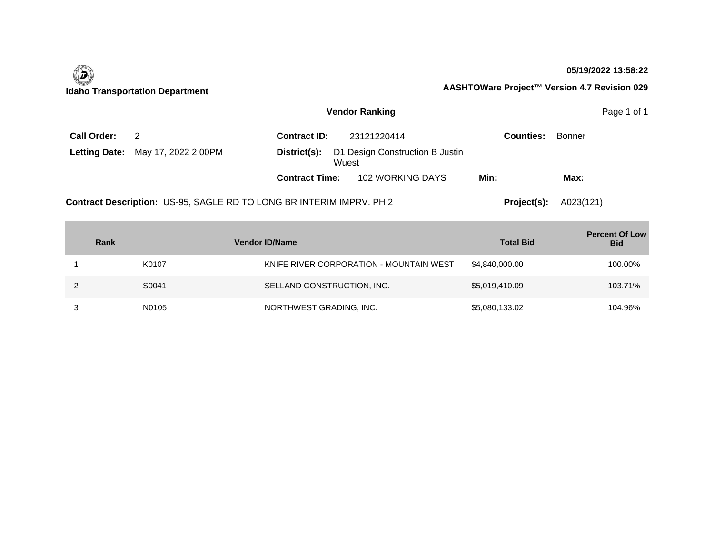| <b>Vendor Ranking</b> |                                                                      |                       |                                 |                  |        |  |  |
|-----------------------|----------------------------------------------------------------------|-----------------------|---------------------------------|------------------|--------|--|--|
| <b>Call Order:</b>    | $\overline{2}$                                                       | <b>Contract ID:</b>   | 23121220414                     | <b>Counties:</b> | Bonner |  |  |
| <b>Letting Date:</b>  | May 17, 2022 2:00PM                                                  | District(s):<br>Wuest | D1 Design Construction B Justin |                  |        |  |  |
|                       |                                                                      | <b>Contract Time:</b> | 102 WORKING DAYS                | Min:             | Max:   |  |  |
|                       | Contract Description: US-95, SAGLE RD TO LONG BR INTERIM IMPRV. PH 2 | Project(s):           | A023(121)                       |                  |        |  |  |

| Rank |       | <b>Vendor ID/Name</b>                   | <b>Total Bid</b> | <b>Percent Of Low</b><br><b>Bid</b> |
|------|-------|-----------------------------------------|------------------|-------------------------------------|
|      | K0107 | KNIFE RIVER CORPORATION - MOUNTAIN WEST | \$4,840,000.00   | 100.00%                             |
|      | S0041 | SELLAND CONSTRUCTION, INC.              | \$5,019,410.09   | 103.71%                             |
|      | N0105 | NORTHWEST GRADING, INC.                 | \$5,080,133.02   | 104.96%                             |

### **05/19/2022 13:58:22**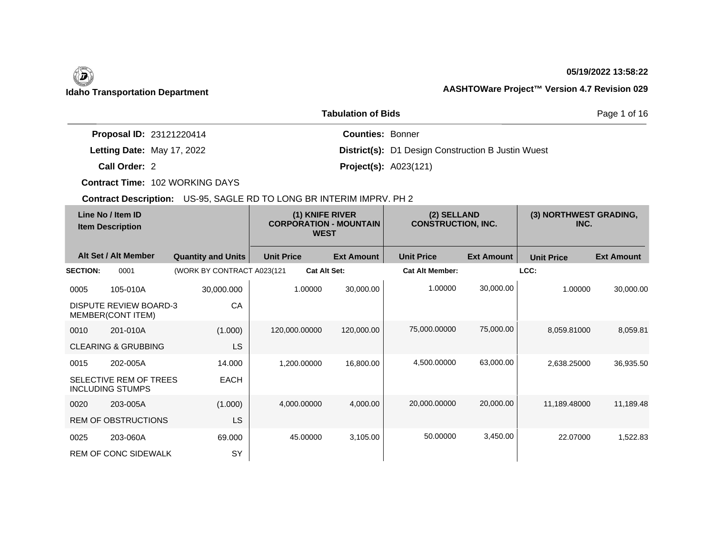# $\left(\begin{matrix} \n\end{matrix}\right)$

### **05/19/2022 13:58:22**

## **Idaho Transportation Department AASHTOWare Project™ Version 4.7 Revision 029**

| <b>Tabulation of Bids</b>       |                                                           |  |  |  |
|---------------------------------|-----------------------------------------------------------|--|--|--|
| <b>Proposal ID: 23121220414</b> | <b>Counties: Bonner</b>                                   |  |  |  |
| Letting Date: May 17, 2022      | <b>District(s):</b> D1 Design Construction B Justin Wuest |  |  |  |
| Call Order: 2                   | <b>Project(s): A023(121)</b>                              |  |  |  |

**Contract Time:** 102 WORKING DAYS

| Line No / Item ID<br><b>Item Description</b> |                                                    | (1) KNIFE RIVER<br><b>CORPORATION - MOUNTAIN</b><br><b>WEST</b> |                   | (2) SELLAND<br><b>CONSTRUCTION, INC.</b> |                        | (3) NORTHWEST GRADING,<br>INC. |                   |                   |
|----------------------------------------------|----------------------------------------------------|-----------------------------------------------------------------|-------------------|------------------------------------------|------------------------|--------------------------------|-------------------|-------------------|
|                                              | Alt Set / Alt Member                               | <b>Quantity and Units</b>                                       | <b>Unit Price</b> | <b>Ext Amount</b>                        | <b>Unit Price</b>      | <b>Ext Amount</b>              | <b>Unit Price</b> | <b>Ext Amount</b> |
| <b>SECTION:</b>                              | 0001                                               | (WORK BY CONTRACT A023(121                                      |                   | <b>Cat Alt Set:</b>                      | <b>Cat Alt Member:</b> |                                | LCC:              |                   |
| 0005                                         | 105-010A                                           | 30,000.000                                                      | 1.00000           | 30,000.00                                | 1.00000                | 30,000.00                      | 1.00000           | 30,000.00         |
|                                              | <b>DISPUTE REVIEW BOARD-3</b><br>MEMBER(CONT ITEM) | CA                                                              |                   |                                          |                        |                                |                   |                   |
| 0010                                         | 201-010A                                           | (1.000)                                                         | 120,000.00000     | 120,000.00                               | 75,000.00000           | 75,000.00                      | 8,059.81000       | 8,059.81          |
|                                              | <b>CLEARING &amp; GRUBBING</b>                     | <b>LS</b>                                                       |                   |                                          |                        |                                |                   |                   |
| 0015                                         | 202-005A                                           | 14.000                                                          | 1,200.00000       | 16,800.00                                | 4,500.00000            | 63,000.00                      | 2,638.25000       | 36,935.50         |
|                                              | SELECTIVE REM OF TREES<br><b>INCLUDING STUMPS</b>  | <b>EACH</b>                                                     |                   |                                          |                        |                                |                   |                   |
| 0020                                         | 203-005A                                           | (1.000)                                                         | 4,000.00000       | 4,000.00                                 | 20,000.00000           | 20,000.00                      | 11,189.48000      | 11,189.48         |
|                                              | <b>REM OF OBSTRUCTIONS</b>                         | <b>LS</b>                                                       |                   |                                          |                        |                                |                   |                   |
| 0025                                         | 203-060A                                           | 69.000                                                          | 45.00000          | 3,105.00                                 | 50.00000               | 3,450.00                       | 22.07000          | 1,522.83          |
|                                              | REM OF CONC SIDEWALK                               | SY                                                              |                   |                                          |                        |                                |                   |                   |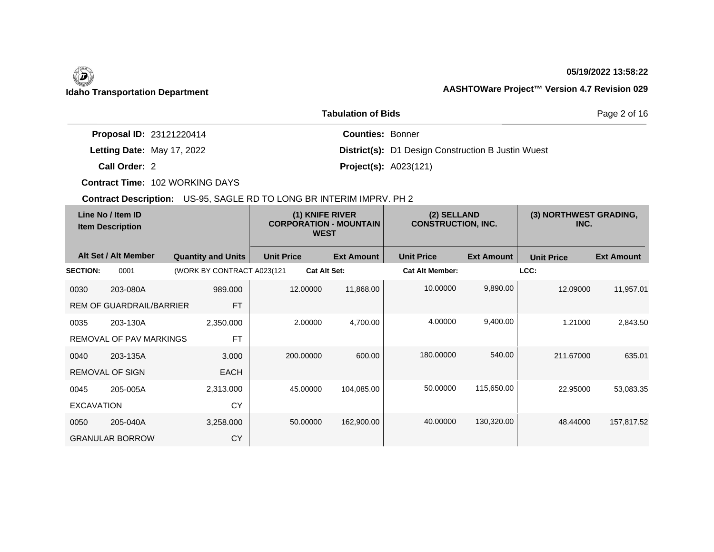## **05/19/2022 13:58:22**

| <b>Tabulation of Bids</b>       |                                                           |  |  |  |
|---------------------------------|-----------------------------------------------------------|--|--|--|
| <b>Proposal ID: 23121220414</b> | <b>Counties: Bonner</b>                                   |  |  |  |
| Letting Date: May 17, 2022      | <b>District(s):</b> D1 Design Construction B Justin Wuest |  |  |  |
| Call Order: 2                   | <b>Project(s): A023(121)</b>                              |  |  |  |

**Contract Time:** 102 WORKING DAYS

| Line No / Item ID<br><b>Item Description</b> |                                 | (1) KNIFE RIVER<br><b>CORPORATION - MOUNTAIN</b><br><b>WEST</b> |                   | (2) SELLAND<br><b>CONSTRUCTION, INC.</b> |                        | (3) NORTHWEST GRADING,<br>INC. |                   |                   |
|----------------------------------------------|---------------------------------|-----------------------------------------------------------------|-------------------|------------------------------------------|------------------------|--------------------------------|-------------------|-------------------|
|                                              | Alt Set / Alt Member            | <b>Quantity and Units</b>                                       | <b>Unit Price</b> | <b>Ext Amount</b>                        | <b>Unit Price</b>      | <b>Ext Amount</b>              | <b>Unit Price</b> | <b>Ext Amount</b> |
| <b>SECTION:</b>                              | 0001                            | (WORK BY CONTRACT A023(121)                                     |                   | <b>Cat Alt Set:</b>                      | <b>Cat Alt Member:</b> |                                | LCC:              |                   |
| 0030                                         | 203-080A                        | 989.000                                                         | 12.00000          | 11,868.00                                | 10.00000               | 9,890.00                       | 12.09000          | 11,957.01         |
|                                              | <b>REM OF GUARDRAIL/BARRIER</b> | <b>FT</b>                                                       |                   |                                          |                        |                                |                   |                   |
| 0035                                         | 203-130A                        | 2,350.000                                                       | 2.00000           | 4,700.00                                 | 4.00000                | 9,400.00                       | 1.21000           | 2,843.50          |
|                                              | <b>REMOVAL OF PAV MARKINGS</b>  | <b>FT</b>                                                       |                   |                                          |                        |                                |                   |                   |
| 0040                                         | 203-135A                        | 3.000                                                           | 200.00000         | 600.00                                   | 180.00000              | 540.00                         | 211.67000         | 635.01            |
|                                              | <b>REMOVAL OF SIGN</b>          | <b>EACH</b>                                                     |                   |                                          |                        |                                |                   |                   |
| 0045                                         | 205-005A                        | 2,313.000                                                       | 45.00000          | 104,085.00                               | 50.00000               | 115,650.00                     | 22.95000          | 53,083.35         |
| <b>EXCAVATION</b>                            |                                 | CY                                                              |                   |                                          |                        |                                |                   |                   |
| 0050                                         | 205-040A                        | 3,258.000                                                       | 50.00000          | 162,900.00                               | 40.00000               | 130,320.00                     | 48.44000          | 157,817.52        |
|                                              | <b>GRANULAR BORROW</b>          | CY                                                              |                   |                                          |                        |                                |                   |                   |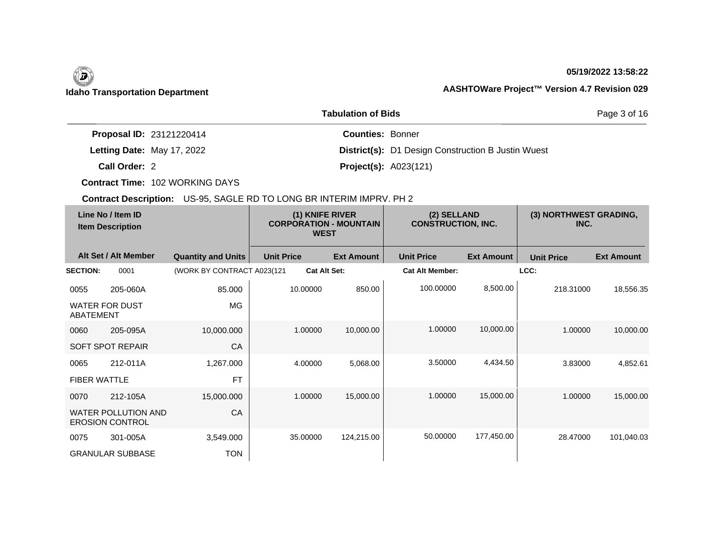## **05/19/2022 13:58:22**

|                                 | Page 3 of 16                                              |  |
|---------------------------------|-----------------------------------------------------------|--|
| <b>Proposal ID: 23121220414</b> | <b>Counties: Bonner</b>                                   |  |
| Letting Date: May 17, 2022      | <b>District(s):</b> D1 Design Construction B Justin Wuest |  |
| Call Order: 2                   | <b>Project(s):</b> $A023(121)$                            |  |

**Contract Time:** 102 WORKING DAYS

| Line No / Item ID<br><b>Item Description</b> |                                                      | (1) KNIFE RIVER<br><b>CORPORATION - MOUNTAIN</b><br><b>WEST</b> |                     | (2) SELLAND<br><b>CONSTRUCTION, INC.</b> |                        | (3) NORTHWEST GRADING,<br>INC. |                   |                   |
|----------------------------------------------|------------------------------------------------------|-----------------------------------------------------------------|---------------------|------------------------------------------|------------------------|--------------------------------|-------------------|-------------------|
|                                              | Alt Set / Alt Member                                 | <b>Quantity and Units</b>                                       | <b>Unit Price</b>   | <b>Ext Amount</b>                        | <b>Unit Price</b>      | <b>Ext Amount</b>              | <b>Unit Price</b> | <b>Ext Amount</b> |
| <b>SECTION:</b>                              | 0001                                                 | (WORK BY CONTRACT A023(121                                      | <b>Cat Alt Set:</b> |                                          | <b>Cat Alt Member:</b> |                                | LCC:              |                   |
| 0055                                         | 205-060A                                             | 85.000                                                          | 10.00000            | 850.00                                   | 100.00000              | 8,500.00                       | 218.31000         | 18,556.35         |
| ABATEMENT                                    | WATER FOR DUST                                       | MG                                                              |                     |                                          |                        |                                |                   |                   |
| 0060                                         | 205-095A                                             | 10,000.000                                                      | 1.00000             | 10,000.00                                | 1.00000                | 10,000.00                      | 1.00000           | 10,000.00         |
|                                              | <b>SOFT SPOT REPAIR</b>                              | CA                                                              |                     |                                          |                        |                                |                   |                   |
| 0065                                         | 212-011A                                             | 1,267.000                                                       | 4.00000             | 5,068.00                                 | 3.50000                | 4,434.50                       | 3.83000           | 4,852.61          |
| <b>FIBER WATTLE</b>                          |                                                      | <b>FT</b>                                                       |                     |                                          |                        |                                |                   |                   |
| 0070                                         | 212-105A                                             | 15,000.000                                                      | 1.00000             | 15,000.00                                | 1.00000                | 15,000.00                      | 1.00000           | 15,000.00         |
|                                              | <b>WATER POLLUTION AND</b><br><b>EROSION CONTROL</b> | CA                                                              |                     |                                          |                        |                                |                   |                   |
| 0075                                         | 301-005A                                             | 3,549.000                                                       | 35.00000            | 124,215.00                               | 50.00000               | 177,450.00                     | 28.47000          | 101,040.03        |
|                                              | <b>GRANULAR SUBBASE</b>                              | <b>TON</b>                                                      |                     |                                          |                        |                                |                   |                   |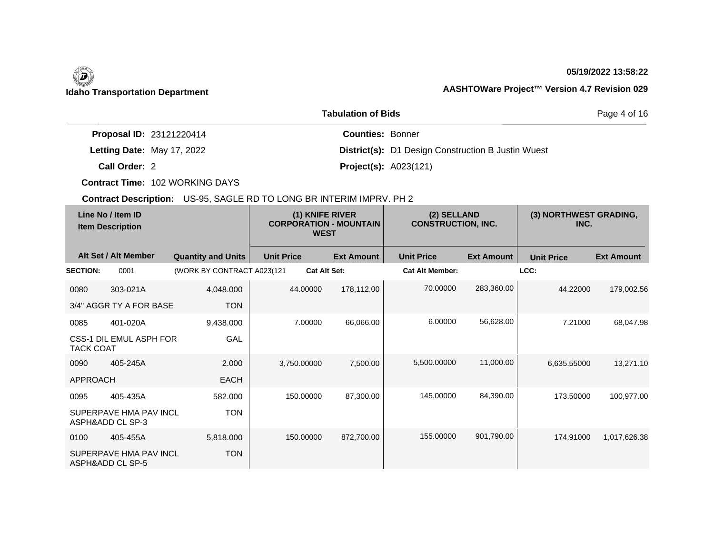### **05/19/2022 13:58:22**

|                            | Page 4 of 16                                              |  |
|----------------------------|-----------------------------------------------------------|--|
| Proposal ID: 23121220414   | <b>Counties: Bonner</b>                                   |  |
| Letting Date: May 17, 2022 | <b>District(s):</b> D1 Design Construction B Justin Wuest |  |
| Call Order: 2              | <b>Project(s): A023(121)</b>                              |  |

**Contract Time:** 102 WORKING DAYS

| Line No / Item ID<br><b>Item Description</b> |                                            | (1) KNIFE RIVER<br><b>CORPORATION - MOUNTAIN</b><br><b>WEST</b> |                   | (2) SELLAND<br><b>CONSTRUCTION, INC.</b> |                        | (3) NORTHWEST GRADING,<br>INC. |                   |                   |
|----------------------------------------------|--------------------------------------------|-----------------------------------------------------------------|-------------------|------------------------------------------|------------------------|--------------------------------|-------------------|-------------------|
|                                              | Alt Set / Alt Member                       | <b>Quantity and Units</b>                                       | <b>Unit Price</b> | <b>Ext Amount</b>                        | <b>Unit Price</b>      | <b>Ext Amount</b>              | <b>Unit Price</b> | <b>Ext Amount</b> |
| <b>SECTION:</b>                              | 0001                                       | (WORK BY CONTRACT A023(121                                      |                   | <b>Cat Alt Set:</b>                      | <b>Cat Alt Member:</b> |                                | LCC:              |                   |
| 0080                                         | 303-021A                                   | 4,048.000                                                       | 44.00000          | 178,112.00                               | 70.00000               | 283,360.00                     | 44.22000          | 179,002.56        |
|                                              | 3/4" AGGR TY A FOR BASE                    | <b>TON</b>                                                      |                   |                                          |                        |                                |                   |                   |
| 0085                                         | 401-020A                                   | 9,438.000                                                       | 7.00000           | 66,066.00                                | 6.00000                | 56,628.00                      | 7.21000           | 68,047.98         |
| <b>TACK COAT</b>                             | CSS-1 DIL EMUL ASPH FOR                    | <b>GAL</b>                                                      |                   |                                          |                        |                                |                   |                   |
| 0090                                         | 405-245A                                   | 2.000                                                           | 3,750.00000       | 7,500.00                                 | 5,500.00000            | 11,000.00                      | 6,635.55000       | 13,271.10         |
| <b>APPROACH</b>                              |                                            | <b>EACH</b>                                                     |                   |                                          |                        |                                |                   |                   |
| 0095                                         | 405-435A                                   | 582.000                                                         | 150.00000         | 87,300.00                                | 145.00000              | 84,390.00                      | 173.50000         | 100,977.00        |
|                                              | SUPERPAVE HMA PAV INCL<br>ASPH&ADD CL SP-3 | <b>TON</b>                                                      |                   |                                          |                        |                                |                   |                   |
| 0100                                         | 405-455A                                   | 5,818.000                                                       | 150.00000         | 872,700.00                               | 155.00000              | 901,790.00                     | 174.91000         | 1,017,626.38      |
|                                              | SUPERPAVE HMA PAV INCL<br>ASPH&ADD CL SP-5 | <b>TON</b>                                                      |                   |                                          |                        |                                |                   |                   |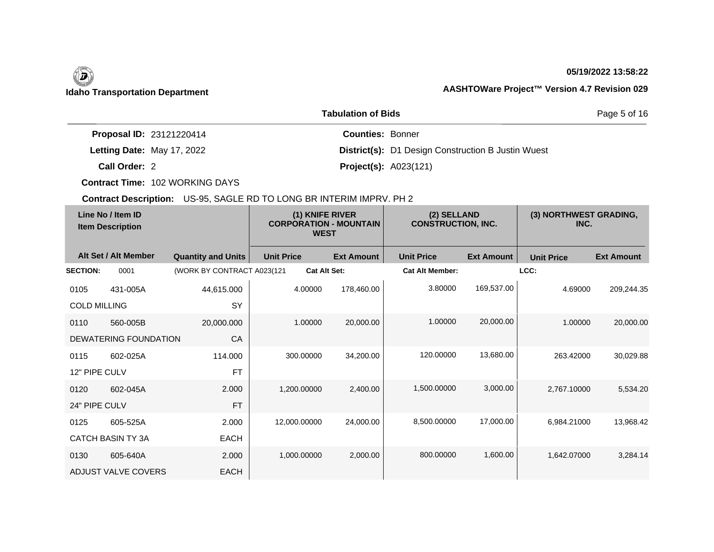### **05/19/2022 13:58:22**

| <b>Tabulation of Bids</b>       |                                                           |  |  |  |
|---------------------------------|-----------------------------------------------------------|--|--|--|
| <b>Proposal ID: 23121220414</b> | <b>Counties: Bonner</b>                                   |  |  |  |
| Letting Date: May 17, 2022      | <b>District(s):</b> D1 Design Construction B Justin Wuest |  |  |  |
| Call Order: 2                   | <b>Project(s): A023(121)</b>                              |  |  |  |

**Contract Time:** 102 WORKING DAYS

| Line No / Item ID<br><b>Item Description</b> |                          | (1) KNIFE RIVER<br><b>CORPORATION - MOUNTAIN</b><br><b>WEST</b> |                     | (2) SELLAND<br><b>CONSTRUCTION, INC.</b> |                        | (3) NORTHWEST GRADING,<br>INC. |                   |                   |
|----------------------------------------------|--------------------------|-----------------------------------------------------------------|---------------------|------------------------------------------|------------------------|--------------------------------|-------------------|-------------------|
|                                              | Alt Set / Alt Member     | <b>Quantity and Units</b>                                       | <b>Unit Price</b>   | <b>Ext Amount</b>                        | <b>Unit Price</b>      | <b>Ext Amount</b>              | <b>Unit Price</b> | <b>Ext Amount</b> |
| <b>SECTION:</b>                              | 0001                     | (WORK BY CONTRACT A023(121                                      | <b>Cat Alt Set:</b> |                                          | <b>Cat Alt Member:</b> |                                | LCC:              |                   |
| 0105                                         | 431-005A                 | 44,615.000                                                      | 4.00000             | 178,460.00                               | 3.80000                | 169,537.00                     | 4.69000           | 209,244.35        |
| <b>COLD MILLING</b>                          |                          | SY                                                              |                     |                                          |                        |                                |                   |                   |
| 0110                                         | 560-005B                 | 20,000.000                                                      | 1.00000             | 20,000.00                                | 1.00000                | 20,000.00                      | 1.00000           | 20,000.00         |
|                                              | DEWATERING FOUNDATION    | CA                                                              |                     |                                          |                        |                                |                   |                   |
| 0115                                         | 602-025A                 | 114.000                                                         | 300.00000           | 34,200.00                                | 120.00000              | 13,680.00                      | 263.42000         | 30,029.88         |
| 12" PIPE CULV                                |                          | <b>FT</b>                                                       |                     |                                          |                        |                                |                   |                   |
| 0120                                         | 602-045A                 | 2.000                                                           | 1,200.00000         | 2,400.00                                 | 1,500.00000            | 3,000.00                       | 2,767.10000       | 5,534.20          |
| 24" PIPE CULV                                |                          | <b>FT</b>                                                       |                     |                                          |                        |                                |                   |                   |
| 0125                                         | 605-525A                 | 2.000                                                           | 12,000.00000        | 24,000.00                                | 8,500.00000            | 17,000.00                      | 6,984.21000       | 13,968.42         |
|                                              | <b>CATCH BASIN TY 3A</b> | <b>EACH</b>                                                     |                     |                                          |                        |                                |                   |                   |
| 0130                                         | 605-640A                 | 2.000                                                           | 1,000.00000         | 2,000.00                                 | 800.00000              | 1,600.00                       | 1,642.07000       | 3,284.14          |
|                                              | ADJUST VALVE COVERS      | <b>EACH</b>                                                     |                     |                                          |                        |                                |                   |                   |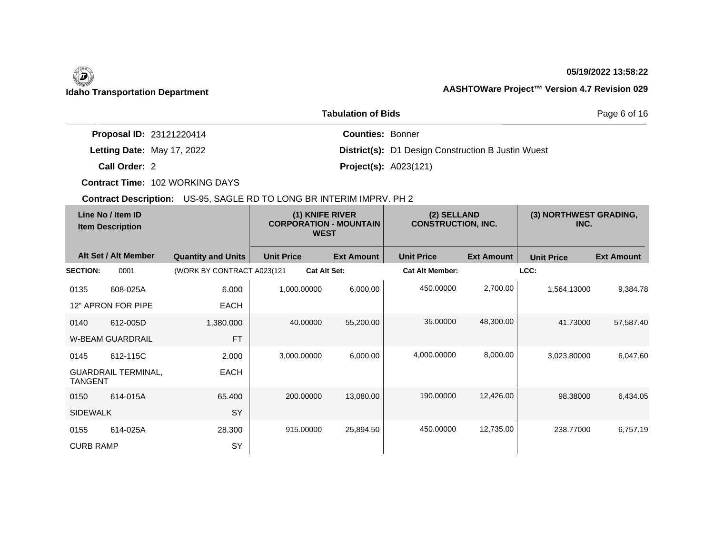### **05/19/2022 13:58:22**

|                                 | Page 6 of 16                                              |  |
|---------------------------------|-----------------------------------------------------------|--|
| <b>Proposal ID: 23121220414</b> | <b>Counties: Bonner</b>                                   |  |
| Letting Date: May 17, 2022      | <b>District(s):</b> D1 Design Construction B Justin Wuest |  |
| Call Order: 2                   | <b>Project(s): A023(121)</b>                              |  |

**Contract Time:** 102 WORKING DAYS

| Line No / Item ID<br><b>Item Description</b> |                            | (1) KNIFE RIVER<br><b>CORPORATION - MOUNTAIN</b><br><b>WEST</b> |                     | (2) SELLAND<br><b>CONSTRUCTION, INC.</b> |                        | (3) NORTHWEST GRADING,<br>INC. |                   |                   |
|----------------------------------------------|----------------------------|-----------------------------------------------------------------|---------------------|------------------------------------------|------------------------|--------------------------------|-------------------|-------------------|
|                                              | Alt Set / Alt Member       | <b>Quantity and Units</b>                                       | <b>Unit Price</b>   | <b>Ext Amount</b>                        | <b>Unit Price</b>      | <b>Ext Amount</b>              | <b>Unit Price</b> | <b>Ext Amount</b> |
| <b>SECTION:</b>                              | 0001                       | (WORK BY CONTRACT A023(121                                      | <b>Cat Alt Set:</b> |                                          | <b>Cat Alt Member:</b> |                                | LCC:              |                   |
| 0135                                         | 608-025A                   | 6.000                                                           | 1,000.00000         | 6,000.00                                 | 450.00000              | 2,700.00                       | 1,564.13000       | 9,384.78          |
|                                              | 12" APRON FOR PIPE         | <b>EACH</b>                                                     |                     |                                          |                        |                                |                   |                   |
| 0140                                         | 612-005D                   | 1,380.000                                                       | 40.00000            | 55,200.00                                | 35.00000               | 48,300.00                      | 41.73000          | 57,587.40         |
|                                              | <b>W-BEAM GUARDRAIL</b>    | <b>FT</b>                                                       |                     |                                          |                        |                                |                   |                   |
| 0145                                         | 612-115C                   | 2.000                                                           | 3,000.00000         | 6,000.00                                 | 4,000.00000            | 8,000.00                       | 3,023.80000       | 6,047.60          |
| <b>TANGENT</b>                               | <b>GUARDRAIL TERMINAL,</b> | <b>EACH</b>                                                     |                     |                                          |                        |                                |                   |                   |
| 0150                                         | 614-015A                   | 65.400                                                          | 200.00000           | 13,080.00                                | 190.00000              | 12,426.00                      | 98.38000          | 6,434.05          |
| <b>SIDEWALK</b>                              |                            | SY                                                              |                     |                                          |                        |                                |                   |                   |
| 0155                                         | 614-025A                   | 28.300                                                          | 915.00000           | 25,894.50                                | 450.00000              | 12,735.00                      | 238.77000         | 6,757.19          |
| <b>CURB RAMP</b>                             |                            | SY                                                              |                     |                                          |                        |                                |                   |                   |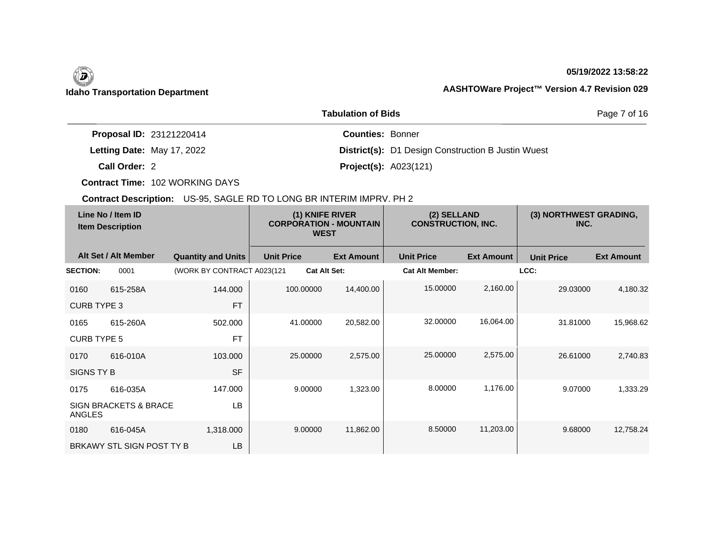### **05/19/2022 13:58:22**

Page 7 of 16

## **Idaho Transportation Department AASHTOWare Project™ Version 4.7 Revision 029**

|                                 | <b>Tabulation of Bids</b>                                 |
|---------------------------------|-----------------------------------------------------------|
| <b>Proposal ID: 23121220414</b> | <b>Counties: Bonner</b>                                   |
| Letting Date: May 17, 2022      | <b>District(s):</b> D1 Design Construction B Justin Wuest |
| Call Order: 2                   | <b>Project(s): A023(121)</b>                              |

**Contract Time:** 102 WORKING DAYS

| Line No / Item ID<br><b>Item Description</b> |                                  | (1) KNIFE RIVER<br><b>CORPORATION - MOUNTAIN</b><br><b>WEST</b> |                   | (2) SELLAND<br><b>CONSTRUCTION, INC.</b> |                        | (3) NORTHWEST GRADING,<br>INC. |                   |                   |
|----------------------------------------------|----------------------------------|-----------------------------------------------------------------|-------------------|------------------------------------------|------------------------|--------------------------------|-------------------|-------------------|
|                                              | Alt Set / Alt Member             | <b>Quantity and Units</b>                                       | <b>Unit Price</b> | <b>Ext Amount</b>                        | <b>Unit Price</b>      | <b>Ext Amount</b>              | <b>Unit Price</b> | <b>Ext Amount</b> |
| <b>SECTION:</b>                              | 0001                             | (WORK BY CONTRACT A023(121                                      |                   | <b>Cat Alt Set:</b>                      | <b>Cat Alt Member:</b> |                                | LCC:              |                   |
| 0160                                         | 615-258A                         | 144.000                                                         | 100.00000         | 14,400.00                                | 15.00000               | 2,160.00                       | 29.03000          | 4,180.32          |
| <b>CURB TYPE 3</b>                           |                                  | <b>FT</b>                                                       |                   |                                          |                        |                                |                   |                   |
| 0165                                         | 615-260A                         | 502.000                                                         | 41.00000          | 20,582.00                                | 32.00000               | 16,064.00                      | 31.81000          | 15,968.62         |
| <b>CURB TYPE 5</b>                           |                                  | <b>FT</b>                                                       |                   |                                          |                        |                                |                   |                   |
| 0170                                         | 616-010A                         | 103.000                                                         | 25.00000          | 2,575.00                                 | 25,00000               | 2,575.00                       | 26.61000          | 2,740.83          |
| SIGNS TY B                                   |                                  | <b>SF</b>                                                       |                   |                                          |                        |                                |                   |                   |
| 0175                                         | 616-035A                         | 147.000                                                         | 9.00000           | 1,323.00                                 | 8.00000                | 1,176.00                       | 9.07000           | 1,333.29          |
| ANGLES                                       | <b>SIGN BRACKETS &amp; BRACE</b> | <b>LB</b>                                                       |                   |                                          |                        |                                |                   |                   |
| 0180                                         | 616-045A                         | 1,318.000                                                       | 9.00000           | 11,862.00                                | 8.50000                | 11,203.00                      | 9.68000           | 12,758.24         |
|                                              | BRKAWY STL SIGN POST TY B        | LB                                                              |                   |                                          |                        |                                |                   |                   |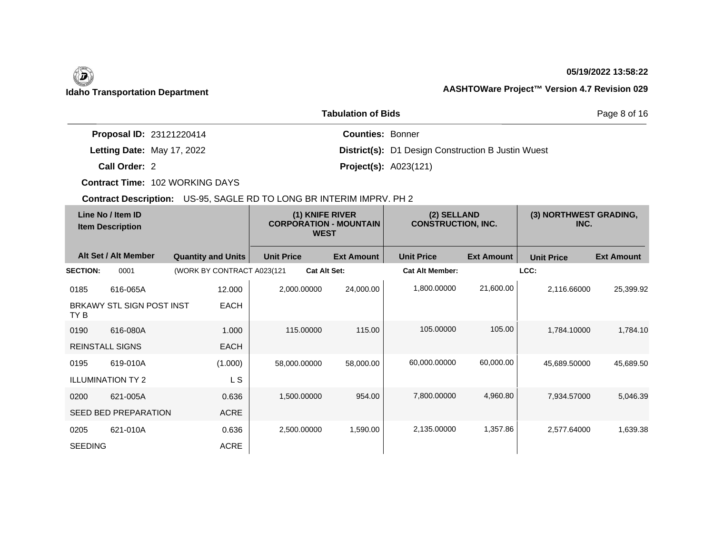# $\left(\begin{matrix} \n\end{matrix}\right)$

## **05/19/2022 13:58:22**

## **Idaho Transportation Department AASHTOWare Project™ Version 4.7 Revision 029**

|                            | Page 8 of 16                                              |  |
|----------------------------|-----------------------------------------------------------|--|
| Proposal ID: 23121220414   | <b>Counties: Bonner</b>                                   |  |
| Letting Date: May 17, 2022 | <b>District(s):</b> D1 Design Construction B Justin Wuest |  |
| Call Order: 2              | <b>Project(s): A023(121)</b>                              |  |

**Contract Time:** 102 WORKING DAYS

| Line No / Item ID<br><b>Item Description</b> |                           | (1) KNIFE RIVER<br><b>CORPORATION - MOUNTAIN</b><br><b>WEST</b> |                     | (2) SELLAND<br><b>CONSTRUCTION, INC.</b> |                        | (3) NORTHWEST GRADING,<br>INC. |                   |                   |
|----------------------------------------------|---------------------------|-----------------------------------------------------------------|---------------------|------------------------------------------|------------------------|--------------------------------|-------------------|-------------------|
|                                              | Alt Set / Alt Member      | <b>Quantity and Units</b>                                       | <b>Unit Price</b>   | <b>Ext Amount</b>                        | <b>Unit Price</b>      | <b>Ext Amount</b>              | <b>Unit Price</b> | <b>Ext Amount</b> |
| <b>SECTION:</b>                              | 0001                      | (WORK BY CONTRACT A023(121                                      | <b>Cat Alt Set:</b> |                                          | <b>Cat Alt Member:</b> |                                | LCC:              |                   |
| 0185                                         | 616-065A                  | 12.000                                                          | 2,000.00000         | 24,000.00                                | 1,800.00000            | 21,600.00                      | 2,116.66000       | 25,399.92         |
| TY B                                         | BRKAWY STL SIGN POST INST | <b>EACH</b>                                                     |                     |                                          |                        |                                |                   |                   |
| 0190                                         | 616-080A                  | 1.000                                                           | 115.00000           | 115.00                                   | 105.00000              | 105.00                         | 1,784.10000       | 1,784.10          |
| <b>REINSTALL SIGNS</b>                       |                           | <b>EACH</b>                                                     |                     |                                          |                        |                                |                   |                   |
| 0195                                         | 619-010A                  | (1.000)                                                         | 58,000.00000        | 58,000.00                                | 60,000.00000           | 60,000.00                      | 45,689.50000      | 45,689.50         |
|                                              | <b>ILLUMINATION TY 2</b>  | L S                                                             |                     |                                          |                        |                                |                   |                   |
| 0200                                         | 621-005A                  | 0.636                                                           | 1,500.00000         | 954.00                                   | 7,800.00000            | 4,960.80                       | 7,934.57000       | 5,046.39          |
|                                              | SEED BED PREPARATION      | <b>ACRE</b>                                                     |                     |                                          |                        |                                |                   |                   |
| 0205                                         | 621-010A                  | 0.636                                                           | 2,500.00000         | 1,590.00                                 | 2,135.00000            | 1,357.86                       | 2,577.64000       | 1,639.38          |
| <b>SEEDING</b>                               |                           | <b>ACRE</b>                                                     |                     |                                          |                        |                                |                   |                   |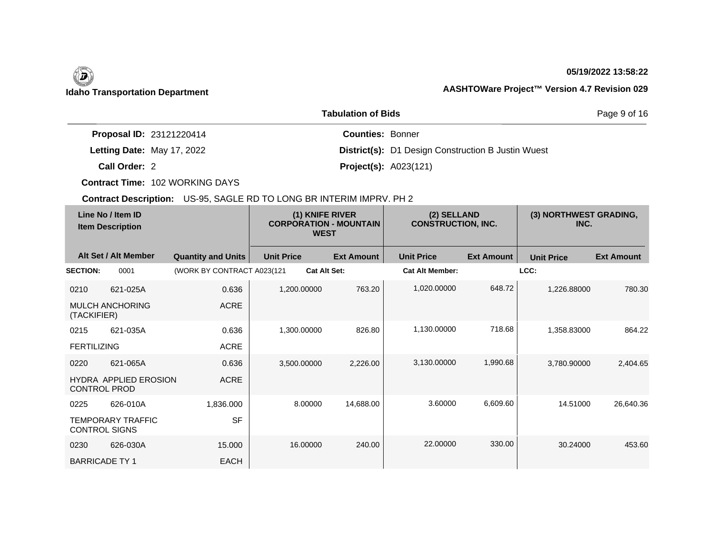## **05/19/2022 13:58:22**

|                                 | Page 9 of 16                                              |  |
|---------------------------------|-----------------------------------------------------------|--|
| <b>Proposal ID: 23121220414</b> | <b>Counties: Bonner</b>                                   |  |
| Letting Date: May 17, 2022      | <b>District(s):</b> D1 Design Construction B Justin Wuest |  |
| Call Order: 2                   | <b>Project(s): A023(121)</b>                              |  |

**Contract Time:** 102 WORKING DAYS

| Line No / Item ID<br><b>Item Description</b> |                                                     | (1) KNIFE RIVER<br><b>CORPORATION - MOUNTAIN</b><br><b>WEST</b> |                     | (2) SELLAND<br><b>CONSTRUCTION, INC.</b> |                        | (3) NORTHWEST GRADING,<br>INC. |                   |                   |
|----------------------------------------------|-----------------------------------------------------|-----------------------------------------------------------------|---------------------|------------------------------------------|------------------------|--------------------------------|-------------------|-------------------|
|                                              | Alt Set / Alt Member                                | <b>Quantity and Units</b>                                       | <b>Unit Price</b>   | <b>Ext Amount</b>                        | <b>Unit Price</b>      | <b>Ext Amount</b>              | <b>Unit Price</b> | <b>Ext Amount</b> |
| <b>SECTION:</b>                              | 0001                                                | (WORK BY CONTRACT A023(121                                      | <b>Cat Alt Set:</b> |                                          | <b>Cat Alt Member:</b> |                                | LCC:              |                   |
| 0210                                         | 621-025A                                            | 0.636                                                           | 1.200.00000         | 763.20                                   | 1,020.00000            | 648.72                         | 1,226.88000       | 780.30            |
| (TACKIFIER)                                  | <b>MULCH ANCHORING</b>                              | <b>ACRE</b>                                                     |                     |                                          |                        |                                |                   |                   |
| 0215                                         | 621-035A                                            | 0.636                                                           | 1,300.00000         | 826.80                                   | 1,130.00000            | 718.68                         | 1,358.83000       | 864.22            |
| <b>FERTILIZING</b>                           |                                                     | ACRE                                                            |                     |                                          |                        |                                |                   |                   |
| 0220                                         | 621-065A                                            | 0.636                                                           | 3,500.00000         | 2,226.00                                 | 3,130.00000            | 1,990.68                       | 3.780.90000       | 2,404.65          |
|                                              | <b>HYDRA APPLIED EROSION</b><br><b>CONTROL PROD</b> | <b>ACRE</b>                                                     |                     |                                          |                        |                                |                   |                   |
| 0225                                         | 626-010A                                            | 1,836.000                                                       | 8.00000             | 14,688.00                                | 3.60000                | 6,609.60                       | 14.51000          | 26,640.36         |
|                                              | <b>TEMPORARY TRAFFIC</b><br><b>CONTROL SIGNS</b>    | <b>SF</b>                                                       |                     |                                          |                        |                                |                   |                   |
| 0230                                         | 626-030A                                            | 15.000                                                          | 16.00000            | 240.00                                   | 22.00000               | 330.00                         | 30.24000          | 453.60            |
|                                              | <b>BARRICADE TY 1</b>                               | <b>EACH</b>                                                     |                     |                                          |                        |                                |                   |                   |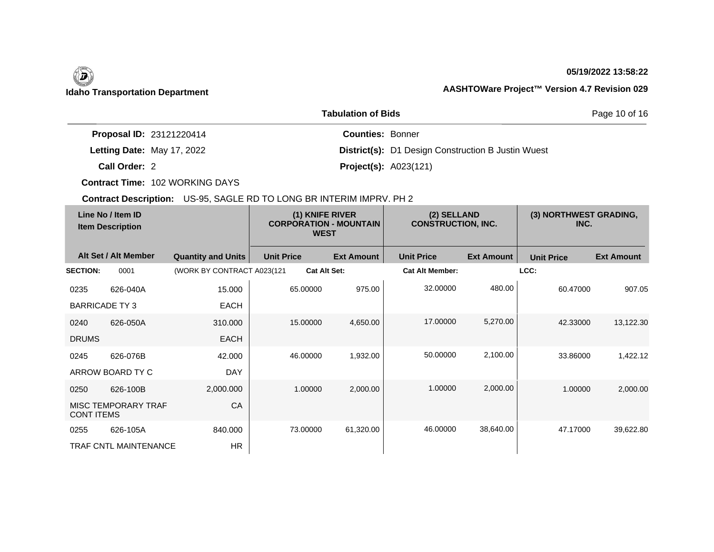## **05/19/2022 13:58:22**

## **Idaho Transportation Department AASHTOWare Project™ Version 4.7 Revision 029**

|                                 | Page 10 of 16                                             |  |
|---------------------------------|-----------------------------------------------------------|--|
| <b>Proposal ID: 23121220414</b> | <b>Counties: Bonner</b>                                   |  |
| Letting Date: May 17, 2022      | <b>District(s):</b> D1 Design Construction B Justin Wuest |  |
| Call Order: 2                   | <b>Project(s): A023(121)</b>                              |  |

**Contract Time:** 102 WORKING DAYS

| Line No / Item ID<br><b>Item Description</b> |                              | (1) KNIFE RIVER<br><b>CORPORATION - MOUNTAIN</b><br><b>WEST</b> |                     | (2) SELLAND<br><b>CONSTRUCTION, INC.</b> |                        | (3) NORTHWEST GRADING,<br>INC. |                   |                   |
|----------------------------------------------|------------------------------|-----------------------------------------------------------------|---------------------|------------------------------------------|------------------------|--------------------------------|-------------------|-------------------|
|                                              | Alt Set / Alt Member         | <b>Quantity and Units</b>                                       | <b>Unit Price</b>   | <b>Ext Amount</b>                        | <b>Unit Price</b>      | <b>Ext Amount</b>              | <b>Unit Price</b> | <b>Ext Amount</b> |
| <b>SECTION:</b>                              | 0001                         | (WORK BY CONTRACT A023(121                                      | <b>Cat Alt Set:</b> |                                          | <b>Cat Alt Member:</b> |                                | LCC:              |                   |
| 0235                                         | 626-040A                     | 15.000                                                          | 65.00000            | 975.00                                   | 32.00000               | 480.00                         | 60.47000          | 907.05            |
| <b>BARRICADE TY3</b>                         |                              | <b>EACH</b>                                                     |                     |                                          |                        |                                |                   |                   |
| 0240                                         | 626-050A                     | 310,000                                                         | 15.00000            | 4,650.00                                 | 17.00000               | 5,270.00                       | 42.33000          | 13,122.30         |
| <b>DRUMS</b>                                 |                              | <b>EACH</b>                                                     |                     |                                          |                        |                                |                   |                   |
| 0245                                         | 626-076B                     | 42.000                                                          | 46.00000            | 1,932.00                                 | 50.00000               | 2,100.00                       | 33.86000          | 1,422.12          |
|                                              | ARROW BOARD TY C             | <b>DAY</b>                                                      |                     |                                          |                        |                                |                   |                   |
| 0250                                         | 626-100B                     | 2,000.000                                                       | 1.00000             | 2,000.00                                 | 1.00000                | 2,000.00                       | 1.00000           | 2,000.00          |
| <b>CONT ITEMS</b>                            | <b>MISC TEMPORARY TRAF</b>   | CA                                                              |                     |                                          |                        |                                |                   |                   |
| 0255                                         | 626-105A                     | 840.000                                                         | 73.00000            | 61,320.00                                | 46.00000               | 38,640.00                      | 47.17000          | 39,622.80         |
|                                              | <b>TRAF CNTL MAINTENANCE</b> | <b>HR</b>                                                       |                     |                                          |                        |                                |                   |                   |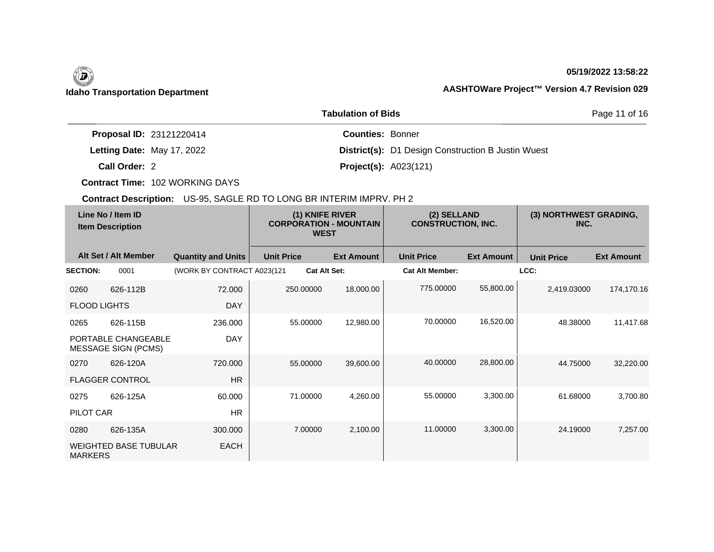### **05/19/2022 13:58:22**

Page 11 of 16

## **Idaho Transportation Department AASHTOWare Project™ Version 4.7 Revision 029**

|                                 | <b>Tabulation of Bids</b>                                 |
|---------------------------------|-----------------------------------------------------------|
| <b>Proposal ID: 23121220414</b> | <b>Counties: Bonner</b>                                   |
| Letting Date: May 17, 2022      | <b>District(s):</b> D1 Design Construction B Justin Wuest |
| Call Order: 2                   | <b>Project(s): A023(121)</b>                              |

**Contract Time:** 102 WORKING DAYS

| Line No / Item ID<br><b>Item Description</b> |                                                   | (1) KNIFE RIVER<br><b>CORPORATION - MOUNTAIN</b><br><b>WEST</b> |                   | (2) SELLAND<br><b>CONSTRUCTION, INC.</b> |                        | (3) NORTHWEST GRADING,<br>INC. |                   |                   |
|----------------------------------------------|---------------------------------------------------|-----------------------------------------------------------------|-------------------|------------------------------------------|------------------------|--------------------------------|-------------------|-------------------|
|                                              | Alt Set / Alt Member                              | <b>Quantity and Units</b>                                       | <b>Unit Price</b> | <b>Ext Amount</b>                        | <b>Unit Price</b>      | <b>Ext Amount</b>              | <b>Unit Price</b> | <b>Ext Amount</b> |
| <b>SECTION:</b>                              | 0001                                              | (WORK BY CONTRACT A023(121                                      |                   | <b>Cat Alt Set:</b>                      | <b>Cat Alt Member:</b> |                                | LCC:              |                   |
| 0260                                         | 626-112B                                          | 72.000                                                          | 250.00000         | 18,000.00                                | 775.00000              | 55,800.00                      | 2,419.03000       | 174,170.16        |
| <b>FLOOD LIGHTS</b>                          |                                                   | <b>DAY</b>                                                      |                   |                                          |                        |                                |                   |                   |
| 0265                                         | 626-115B                                          | 236.000                                                         | 55.00000          | 12,980.00                                | 70.00000               | 16,520.00                      | 48.38000          | 11,417.68         |
|                                              | PORTABLE CHANGEABLE<br><b>MESSAGE SIGN (PCMS)</b> | <b>DAY</b>                                                      |                   |                                          |                        |                                |                   |                   |
| 0270                                         | 626-120A                                          | 720.000                                                         | 55.00000          | 39,600.00                                | 40.00000               | 28,800.00                      | 44.75000          | 32,220.00         |
|                                              | <b>FLAGGER CONTROL</b>                            | <b>HR</b>                                                       |                   |                                          |                        |                                |                   |                   |
| 0275                                         | 626-125A                                          | 60.000                                                          | 71.00000          | 4,260.00                                 | 55.00000               | 3,300.00                       | 61.68000          | 3,700.80          |
| PILOT CAR                                    |                                                   | <b>HR</b>                                                       |                   |                                          |                        |                                |                   |                   |
| 0280                                         | 626-135A                                          | 300,000                                                         | 7.00000           | 2,100.00                                 | 11.00000               | 3,300.00                       | 24.19000          | 7,257.00          |
| <b>MARKERS</b>                               | <b>WEIGHTED BASE TUBULAR</b>                      | <b>EACH</b>                                                     |                   |                                          |                        |                                |                   |                   |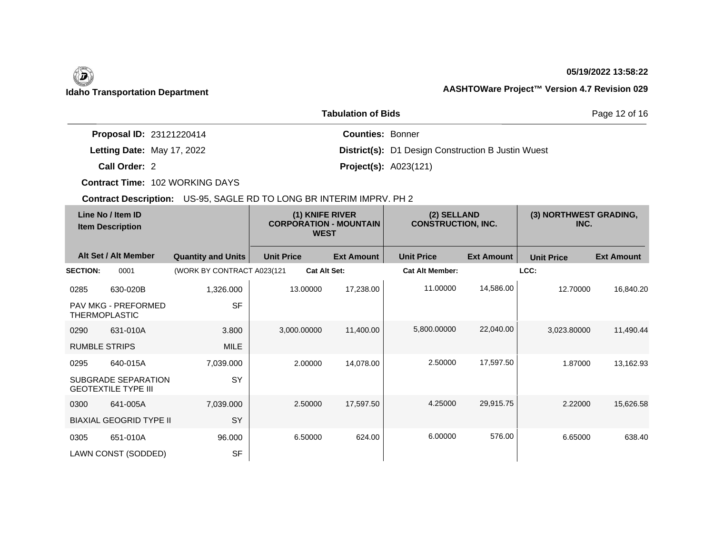### **05/19/2022 13:58:22**

Page 12 of 16

|                                 | <b>Tabulation of Bids</b>                                 |
|---------------------------------|-----------------------------------------------------------|
| <b>Proposal ID: 23121220414</b> | <b>Counties: Bonner</b>                                   |
| Letting Date: May 17, 2022      | <b>District(s):</b> D1 Design Construction B Justin Wuest |
| Call Order: 2                   | <b>Project(s): A023(121)</b>                              |

**Contract Time:** 102 WORKING DAYS

|                      | Line No / Item ID<br><b>Item Description</b>             |                            | (1) KNIFE RIVER<br><b>CORPORATION - MOUNTAIN</b><br><b>WEST</b> |                     | (2) SELLAND<br><b>CONSTRUCTION, INC.</b> |                   | (3) NORTHWEST GRADING,<br>INC. |                   |
|----------------------|----------------------------------------------------------|----------------------------|-----------------------------------------------------------------|---------------------|------------------------------------------|-------------------|--------------------------------|-------------------|
|                      | Alt Set / Alt Member                                     | <b>Quantity and Units</b>  | <b>Unit Price</b>                                               | <b>Ext Amount</b>   | <b>Unit Price</b>                        | <b>Ext Amount</b> | <b>Unit Price</b>              | <b>Ext Amount</b> |
| <b>SECTION:</b>      | 0001                                                     | (WORK BY CONTRACT A023(121 |                                                                 | <b>Cat Alt Set:</b> | <b>Cat Alt Member:</b>                   |                   | LCC:                           |                   |
| 0285                 | 630-020B                                                 | 1,326.000                  | 13.00000                                                        | 17,238.00           | 11.00000                                 | 14,586.00         | 12.70000                       | 16,840.20         |
|                      | <b>PAV MKG - PREFORMED</b><br><b>THERMOPLASTIC</b>       | <b>SF</b>                  |                                                                 |                     |                                          |                   |                                |                   |
| 0290                 | 631-010A                                                 | 3.800                      | 3,000.00000                                                     | 11,400.00           | 5,800.00000                              | 22,040.00         | 3,023.80000                    | 11,490.44         |
| <b>RUMBLE STRIPS</b> |                                                          | <b>MILE</b>                |                                                                 |                     |                                          |                   |                                |                   |
| 0295                 | 640-015A                                                 | 7,039.000                  | 2.00000                                                         | 14,078.00           | 2.50000                                  | 17,597.50         | 1.87000                        | 13,162.93         |
|                      | <b>SUBGRADE SEPARATION</b><br><b>GEOTEXTILE TYPE III</b> | <b>SY</b>                  |                                                                 |                     |                                          |                   |                                |                   |
| 0300                 | 641-005A                                                 | 7,039.000                  | 2.50000                                                         | 17,597.50           | 4.25000                                  | 29,915.75         | 2.22000                        | 15,626.58         |
|                      | <b>BIAXIAL GEOGRID TYPE II</b>                           | SY                         |                                                                 |                     |                                          |                   |                                |                   |
| 0305                 | 651-010A                                                 | 96.000                     | 6.50000                                                         | 624.00              | 6.00000                                  | 576.00            | 6.65000                        | 638.40            |
|                      | LAWN CONST (SODDED)                                      | <b>SF</b>                  |                                                                 |                     |                                          |                   |                                |                   |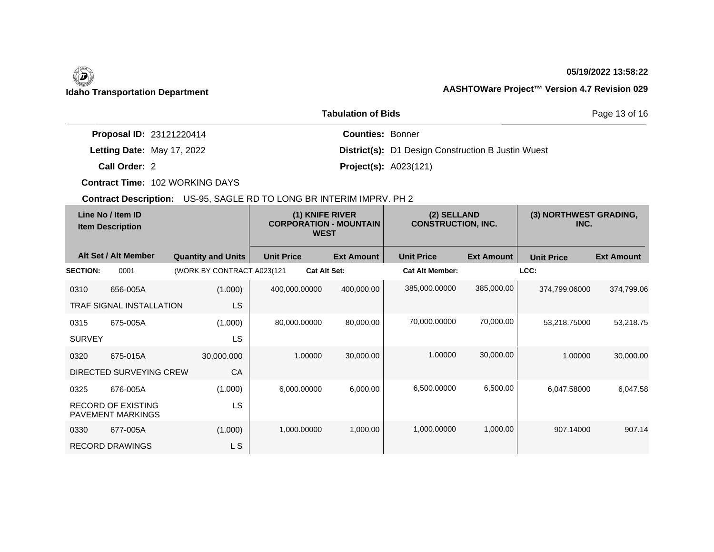### **05/19/2022 13:58:22**

Page 13 of 16

| <b>Proposal ID: 23121220414</b> | <b>Counties: Bonner</b>        |                                                           |
|---------------------------------|--------------------------------|-----------------------------------------------------------|
| Letting Date: May 17, 2022      |                                | <b>District(s):</b> D1 Design Construction B Justin Wuest |
| Call Order: 2                   | <b>Project(s):</b> $A023(121)$ |                                                           |

**Tabulation of Bids**

**Contract Time:** 102 WORKING DAYS

| Line No / Item ID<br><b>Item Description</b> |                                                       | (1) KNIFE RIVER<br><b>CORPORATION - MOUNTAIN</b><br><b>WEST</b> |                     | (2) SELLAND<br><b>CONSTRUCTION, INC.</b> |                        | (3) NORTHWEST GRADING,<br>INC. |                   |                   |
|----------------------------------------------|-------------------------------------------------------|-----------------------------------------------------------------|---------------------|------------------------------------------|------------------------|--------------------------------|-------------------|-------------------|
|                                              | Alt Set / Alt Member                                  | <b>Quantity and Units</b>                                       | <b>Unit Price</b>   | <b>Ext Amount</b>                        | <b>Unit Price</b>      | <b>Ext Amount</b>              | <b>Unit Price</b> | <b>Ext Amount</b> |
| <b>SECTION:</b>                              | 0001                                                  | (WORK BY CONTRACT A023(121                                      | <b>Cat Alt Set:</b> |                                          | <b>Cat Alt Member:</b> |                                | LCC:              |                   |
| 0310                                         | 656-005A                                              | (1.000)                                                         | 400,000.00000       | 400,000.00                               | 385,000.00000          | 385,000.00                     | 374,799.06000     | 374,799.06        |
|                                              | <b>TRAF SIGNAL INSTALLATION</b>                       | LS                                                              |                     |                                          |                        |                                |                   |                   |
| 0315                                         | 675-005A                                              | (1.000)                                                         | 80,000.00000        | 80,000.00                                | 70,000.00000           | 70,000.00                      | 53,218.75000      | 53,218.75         |
| <b>SURVEY</b>                                |                                                       | LS                                                              |                     |                                          |                        |                                |                   |                   |
| 0320                                         | 675-015A                                              | 30,000.000                                                      | 1.00000             | 30,000.00                                | 1.00000                | 30,000.00                      | 1.00000           | 30,000.00         |
|                                              | DIRECTED SURVEYING CREW                               | CA                                                              |                     |                                          |                        |                                |                   |                   |
| 0325                                         | 676-005A                                              | (1.000)                                                         | 6,000.00000         | 6,000.00                                 | 6,500.00000            | 6,500.00                       | 6,047.58000       | 6,047.58          |
|                                              | <b>RECORD OF EXISTING</b><br><b>PAVEMENT MARKINGS</b> | <b>LS</b>                                                       |                     |                                          |                        |                                |                   |                   |
| 0330                                         | 677-005A                                              | (1.000)                                                         | 1,000.00000         | 1,000.00                                 | 1,000.00000            | 1,000.00                       | 907.14000         | 907.14            |
|                                              | <b>RECORD DRAWINGS</b>                                | L S                                                             |                     |                                          |                        |                                |                   |                   |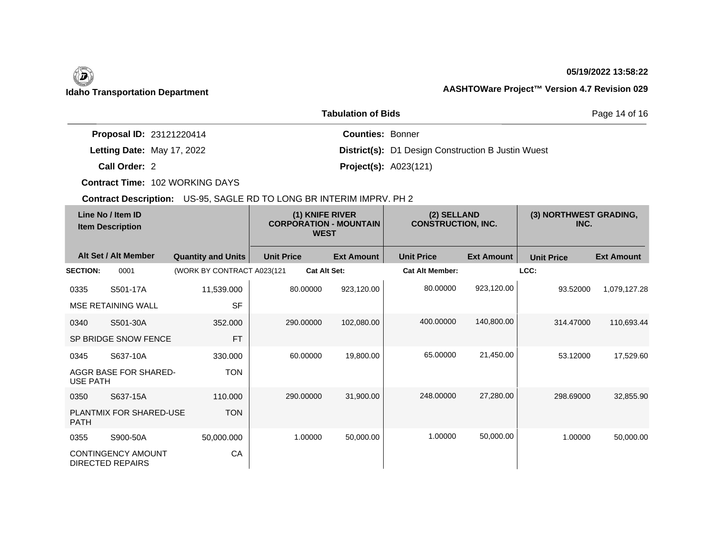## **05/19/2022 13:58:22**

Page 14 of 16

## **Idaho Transportation Department AASHTOWare Project™ Version 4.7 Revision 029**

| <b>Proposal ID: 23121220414</b> | <b>Counties: Bonner</b>                                   |
|---------------------------------|-----------------------------------------------------------|
| Letting Date: May 17, 2022      | <b>District(s):</b> D1 Design Construction B Justin Wuest |
| Call Order: 2                   | <b>Project(s): A023(121)</b>                              |

**Tabulation of Bids**

**Contract Time:** 102 WORKING DAYS

| Line No / Item ID<br><b>Item Description</b> |                                               | (1) KNIFE RIVER<br><b>CORPORATION - MOUNTAIN</b><br><b>WEST</b> |                     | (2) SELLAND<br><b>CONSTRUCTION, INC.</b> |                        | (3) NORTHWEST GRADING,<br>INC. |                   |                   |
|----------------------------------------------|-----------------------------------------------|-----------------------------------------------------------------|---------------------|------------------------------------------|------------------------|--------------------------------|-------------------|-------------------|
|                                              | Alt Set / Alt Member                          | <b>Quantity and Units</b>                                       | <b>Unit Price</b>   | <b>Ext Amount</b>                        | <b>Unit Price</b>      | <b>Ext Amount</b>              | <b>Unit Price</b> | <b>Ext Amount</b> |
| <b>SECTION:</b>                              | 0001                                          | (WORK BY CONTRACT A023(121                                      | <b>Cat Alt Set:</b> |                                          | <b>Cat Alt Member:</b> |                                | LCC:              |                   |
| 0335                                         | S501-17A                                      | 11,539.000                                                      | 80.00000            | 923,120.00                               | 80.00000               | 923,120.00                     | 93.52000          | 1,079,127.28      |
|                                              | <b>MSE RETAINING WALL</b>                     | <b>SF</b>                                                       |                     |                                          |                        |                                |                   |                   |
| 0340                                         | S501-30A                                      | 352.000                                                         | 290.00000           | 102,080.00                               | 400.00000              | 140,800.00                     | 314.47000         | 110,693.44        |
|                                              | SP BRIDGE SNOW FENCE                          | <b>FT</b>                                                       |                     |                                          |                        |                                |                   |                   |
| 0345                                         | S637-10A                                      | 330.000                                                         | 60.00000            | 19,800.00                                | 65.00000               | 21,450.00                      | 53.12000          | 17,529.60         |
| <b>USE PATH</b>                              | <b>AGGR BASE FOR SHARED-</b>                  | <b>TON</b>                                                      |                     |                                          |                        |                                |                   |                   |
| 0350                                         | S637-15A                                      | 110,000                                                         | 290.00000           | 31,900.00                                | 248,00000              | 27,280.00                      | 298.69000         | 32,855.90         |
| <b>PATH</b>                                  | PLANTMIX FOR SHARED-USE                       | <b>TON</b>                                                      |                     |                                          |                        |                                |                   |                   |
| 0355                                         | S900-50A                                      | 50,000.000                                                      | 1.00000             | 50,000.00                                | 1.00000                | 50,000.00                      | 1.00000           | 50,000.00         |
|                                              | CONTINGENCY AMOUNT<br><b>DIRECTED REPAIRS</b> | CA                                                              |                     |                                          |                        |                                |                   |                   |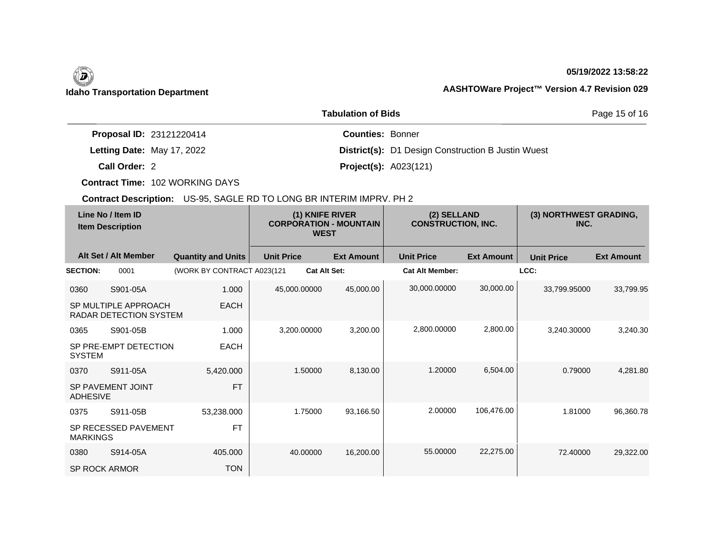# D

### **05/19/2022 13:58:22**

Page 15 of 16

## **Idaho Transportation Department AASHTOWare Project™ Version 4.7 Revision 029**

|                                 | <b>Tabulation of Bids</b>                                 |
|---------------------------------|-----------------------------------------------------------|
| <b>Proposal ID: 23121220414</b> | <b>Counties: Bonner</b>                                   |
| Letting Date: May 17, 2022      | <b>District(s):</b> D1 Design Construction B Justin Wuest |
| Call Order: 2                   | <b>Project(s):</b> $A023(121)$                            |

**Contract Time:** 102 WORKING DAYS

| Line No / Item ID<br><b>Item Description</b> |                                                       | (1) KNIFE RIVER<br><b>CORPORATION - MOUNTAIN</b><br><b>WEST</b> |                     | (2) SELLAND<br><b>CONSTRUCTION, INC.</b> |                        | (3) NORTHWEST GRADING,<br>INC. |                   |                   |
|----------------------------------------------|-------------------------------------------------------|-----------------------------------------------------------------|---------------------|------------------------------------------|------------------------|--------------------------------|-------------------|-------------------|
|                                              | Alt Set / Alt Member                                  | <b>Quantity and Units</b>                                       | <b>Unit Price</b>   | <b>Ext Amount</b>                        | <b>Unit Price</b>      | <b>Ext Amount</b>              | <b>Unit Price</b> | <b>Ext Amount</b> |
| <b>SECTION:</b>                              | 0001                                                  | (WORK BY CONTRACT A023(121                                      | <b>Cat Alt Set:</b> |                                          | <b>Cat Alt Member:</b> |                                | LCC:              |                   |
| 0360                                         | S901-05A                                              | 1.000                                                           | 45,000.00000        | 45,000.00                                | 30,000.00000           | 30,000.00                      | 33,799.95000      | 33,799.95         |
|                                              | SP MULTIPLE APPROACH<br><b>RADAR DETECTION SYSTEM</b> | <b>EACH</b>                                                     |                     |                                          |                        |                                |                   |                   |
| 0365                                         | S901-05B                                              | 1.000                                                           | 3,200.00000         | 3,200.00                                 | 2,800.00000            | 2,800.00                       | 3,240.30000       | 3,240.30          |
| <b>SYSTEM</b>                                | SP PRE-EMPT DETECTION                                 | <b>EACH</b>                                                     |                     |                                          |                        |                                |                   |                   |
| 0370                                         | S911-05A                                              | 5,420.000                                                       | 1.50000             | 8,130.00                                 | 1.20000                | 6,504.00                       | 0.79000           | 4,281.80          |
| <b>ADHESIVE</b>                              | SP PAVEMENT JOINT                                     | <b>FT</b>                                                       |                     |                                          |                        |                                |                   |                   |
| 0375                                         | S911-05B                                              | 53,238.000                                                      | 1.75000             | 93,166.50                                | 2.00000                | 106,476.00                     | 1.81000           | 96,360.78         |
| <b>MARKINGS</b>                              | SP RECESSED PAVEMENT                                  | <b>FT</b>                                                       |                     |                                          |                        |                                |                   |                   |
| 0380                                         | S914-05A                                              | 405.000                                                         | 40.00000            | 16,200.00                                | 55.00000               | 22,275.00                      | 72.40000          | 29,322.00         |
| <b>SP ROCK ARMOR</b>                         |                                                       | <b>TON</b>                                                      |                     |                                          |                        |                                |                   |                   |